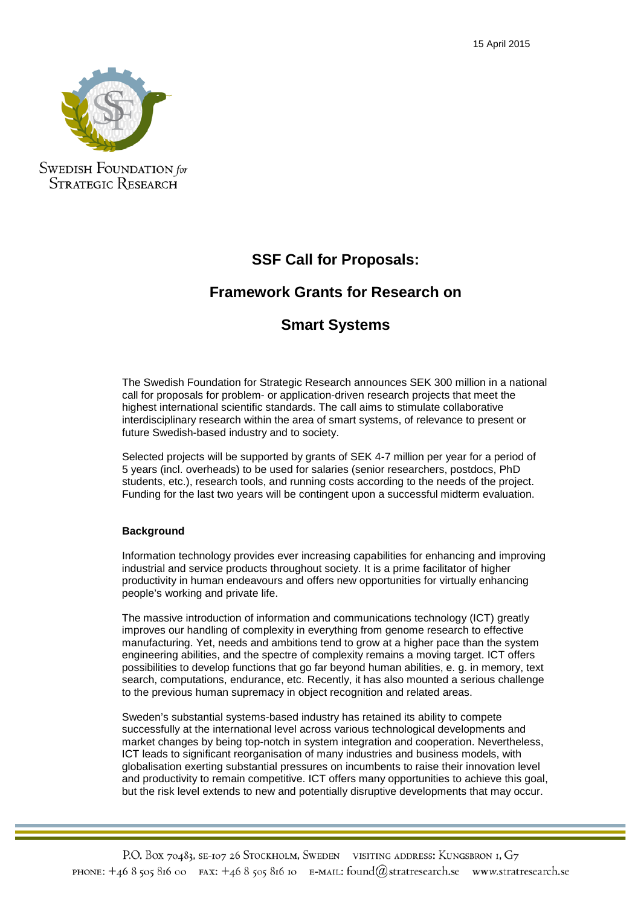

**SWEDISH FOUNDATION** for **STRATEGIC RESEARCH** 

# **SSF Call for Proposals:**

## **Framework Grants for Research on**

## **Smart Systems**

The Swedish Foundation for Strategic Research announces SEK 300 million in a national call for proposals for problem- or application-driven research projects that meet the highest international scientific standards. The call aims to stimulate collaborative interdisciplinary research within the area of smart systems, of relevance to present or future Swedish-based industry and to society.

Selected projects will be supported by grants of SEK 4-7 million per year for a period of 5 years (incl. overheads) to be used for salaries (senior researchers, postdocs, PhD students, etc.), research tools, and running costs according to the needs of the project. Funding for the last two years will be contingent upon a successful midterm evaluation.

## **Background**

Information technology provides ever increasing capabilities for enhancing and improving industrial and service products throughout society. It is a prime facilitator of higher productivity in human endeavours and offers new opportunities for virtually enhancing people's working and private life.

The massive introduction of information and communications technology (ICT) greatly improves our handling of complexity in everything from genome research to effective manufacturing. Yet, needs and ambitions tend to grow at a higher pace than the system engineering abilities, and the spectre of complexity remains a moving target. ICT offers possibilities to develop functions that go far beyond human abilities, e. g. in memory, text search, computations, endurance, etc. Recently, it has also mounted a serious challenge to the previous human supremacy in object recognition and related areas.

Sweden's substantial systems-based industry has retained its ability to compete successfully at the international level across various technological developments and market changes by being top-notch in system integration and cooperation. Nevertheless, ICT leads to significant reorganisation of many industries and business models, with globalisation exerting substantial pressures on incumbents to raise their innovation level and productivity to remain competitive. ICT offers many opportunities to achieve this goal, but the risk level extends to new and potentially disruptive developments that may occur.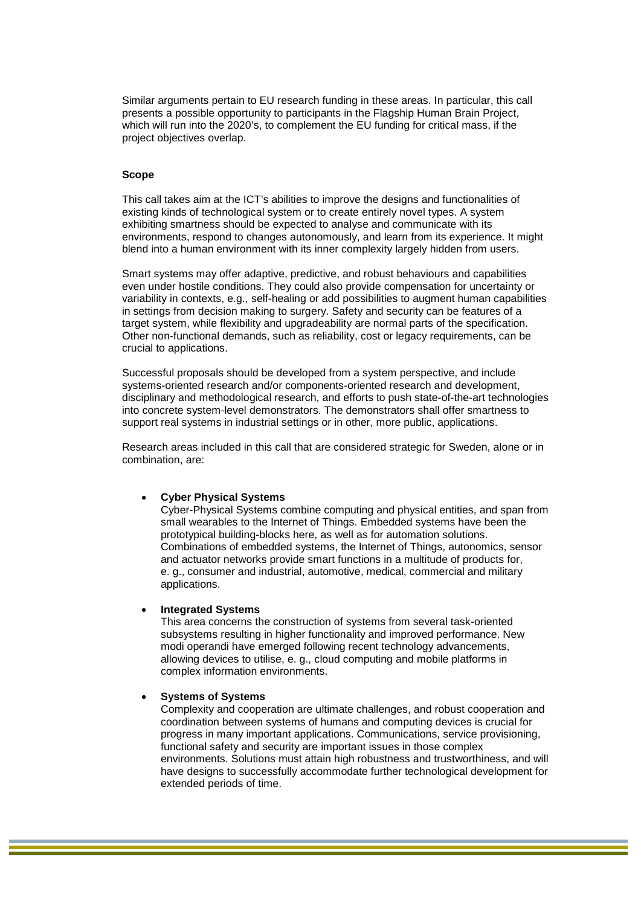Similar arguments pertain to EU research funding in these areas. In particular, this call presents a possible opportunity to participants in the Flagship Human Brain Project, which will run into the 2020's, to complement the EU funding for critical mass, if the project objectives overlap.

#### **Scope**

This call takes aim at the ICT's abilities to improve the designs and functionalities of existing kinds of technological system or to create entirely novel types. A system exhibiting smartness should be expected to analyse and communicate with its environments, respond to changes autonomously, and learn from its experience. It might blend into a human environment with its inner complexity largely hidden from users.

Smart systems may offer adaptive, predictive, and robust behaviours and capabilities even under hostile conditions. They could also provide compensation for uncertainty or variability in contexts, e.g., self-healing or add possibilities to augment human capabilities in settings from decision making to surgery. Safety and security can be features of a target system, while flexibility and upgradeability are normal parts of the specification. Other non-functional demands, such as reliability, cost or legacy requirements, can be crucial to applications.

Successful proposals should be developed from a system perspective, and include systems-oriented research and/or components-oriented research and development, disciplinary and methodological research, and efforts to push state-of-the-art technologies into concrete system-level demonstrators. The demonstrators shall offer smartness to support real systems in industrial settings or in other, more public, applications.

Research areas included in this call that are considered strategic for Sweden, alone or in combination, are:

#### • **Cyber Physical Systems**

Cyber-Physical Systems combine computing and physical entities, and span from small wearables to the Internet of Things. Embedded systems have been the prototypical building-blocks here, as well as for automation solutions. Combinations of embedded systems, the Internet of Things, autonomics, sensor and actuator networks provide smart functions in a multitude of products for, e. g., consumer and industrial, automotive, medical, commercial and military applications.

#### • **Integrated Systems**

This area concerns the construction of systems from several task-oriented subsystems resulting in higher functionality and improved performance. New modi operandi have emerged following recent technology advancements, allowing devices to utilise, e. g., cloud computing and mobile platforms in complex information environments.

#### • **Systems of Systems**

Complexity and cooperation are ultimate challenges, and robust cooperation and coordination between systems of humans and computing devices is crucial for progress in many important applications. Communications, service provisioning, functional safety and security are important issues in those complex environments. Solutions must attain high robustness and trustworthiness, and will have designs to successfully accommodate further technological development for extended periods of time.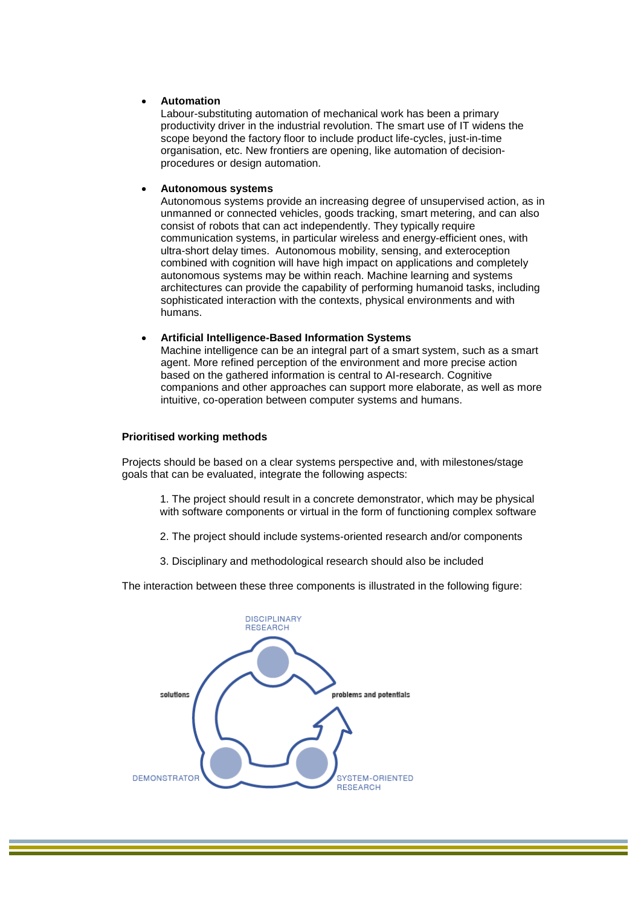### • **Automation**

Labour-substituting automation of mechanical work has been a primary productivity driver in the industrial revolution. The smart use of IT widens the scope beyond the factory floor to include product life-cycles, just-in-time organisation, etc. New frontiers are opening, like automation of decisionprocedures or design automation.

### • **Autonomous systems**

Autonomous systems provide an increasing degree of unsupervised action, as in unmanned or connected vehicles, goods tracking, smart metering, and can also consist of robots that can act independently. They typically require communication systems, in particular wireless and energy-efficient ones, with ultra-short delay times. Autonomous mobility, sensing, and exteroception combined with cognition will have high impact on applications and completely autonomous systems may be within reach. Machine learning and systems architectures can provide the capability of performing humanoid tasks, including sophisticated interaction with the contexts, physical environments and with humans.

#### • **Artificial Intelligence-Based Information Systems**

Machine intelligence can be an integral part of a smart system, such as a smart agent. More refined perception of the environment and more precise action based on the gathered information is central to AI-research. Cognitive companions and other approaches can support more elaborate, as well as more intuitive, co-operation between computer systems and humans.

## **Prioritised working methods**

Projects should be based on a clear systems perspective and, with milestones/stage goals that can be evaluated, integrate the following aspects:

1. The project should result in a concrete demonstrator, which may be physical with software components or virtual in the form of functioning complex software

- 2. The project should include systems‐oriented research and/or components
- 3. Disciplinary and methodological research should also be included

The interaction between these three components is illustrated in the following figure:

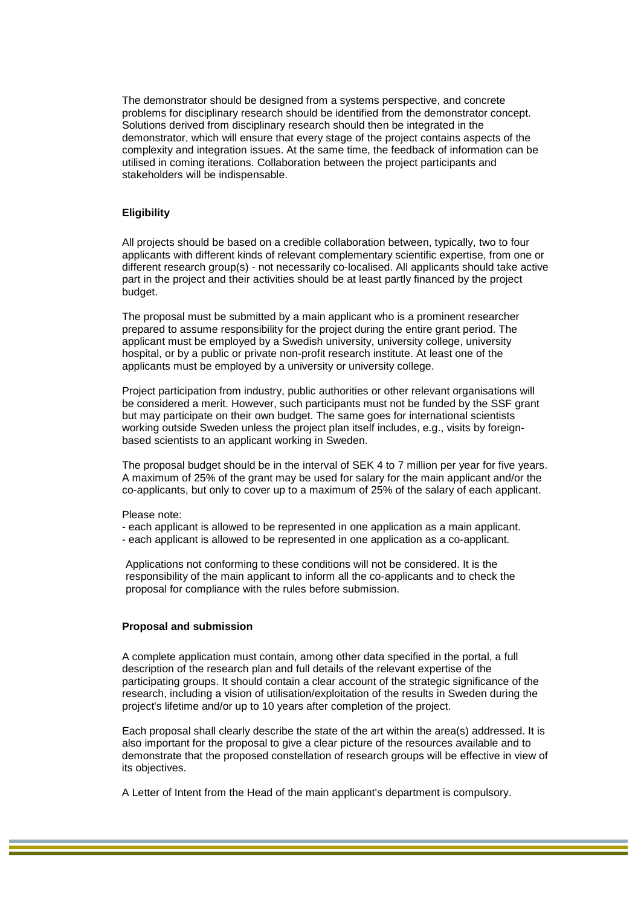The demonstrator should be designed from a systems perspective, and concrete problems for disciplinary research should be identified from the demonstrator concept. Solutions derived from disciplinary research should then be integrated in the demonstrator, which will ensure that every stage of the project contains aspects of the complexity and integration issues. At the same time, the feedback of information can be utilised in coming iterations. Collaboration between the project participants and stakeholders will be indispensable.

#### **Eligibility**

All projects should be based on a credible collaboration between, typically, two to four applicants with different kinds of relevant complementary scientific expertise, from one or different research group(s) - not necessarily co-localised. All applicants should take active part in the project and their activities should be at least partly financed by the project budget.

The proposal must be submitted by a main applicant who is a prominent researcher prepared to assume responsibility for the project during the entire grant period. The applicant must be employed by a Swedish university, university college, university hospital, or by a public or private non-profit research institute. At least one of the applicants must be employed by a university or university college.

Project participation from industry, public authorities or other relevant organisations will be considered a merit. However, such participants must not be funded by the SSF grant but may participate on their own budget. The same goes for international scientists working outside Sweden unless the project plan itself includes, e.g., visits by foreignbased scientists to an applicant working in Sweden.

The proposal budget should be in the interval of SEK 4 to 7 million per year for five years. A maximum of 25% of the grant may be used for salary for the main applicant and/or the co-applicants, but only to cover up to a maximum of 25% of the salary of each applicant.

Please note:

- each applicant is allowed to be represented in one application as a main applicant.
- each applicant is allowed to be represented in one application as a co-applicant.

Applications not conforming to these conditions will not be considered. It is the responsibility of the main applicant to inform all the co-applicants and to check the proposal for compliance with the rules before submission.

#### **Proposal and submission**

A complete application must contain, among other data specified in the portal, a full description of the research plan and full details of the relevant expertise of the participating groups. It should contain a clear account of the strategic significance of the research, including a vision of utilisation/exploitation of the results in Sweden during the project's lifetime and/or up to 10 years after completion of the project.

Each proposal shall clearly describe the state of the art within the area(s) addressed. It is also important for the proposal to give a clear picture of the resources available and to demonstrate that the proposed constellation of research groups will be effective in view of its objectives.

A Letter of Intent from the Head of the main applicant's department is compulsory.